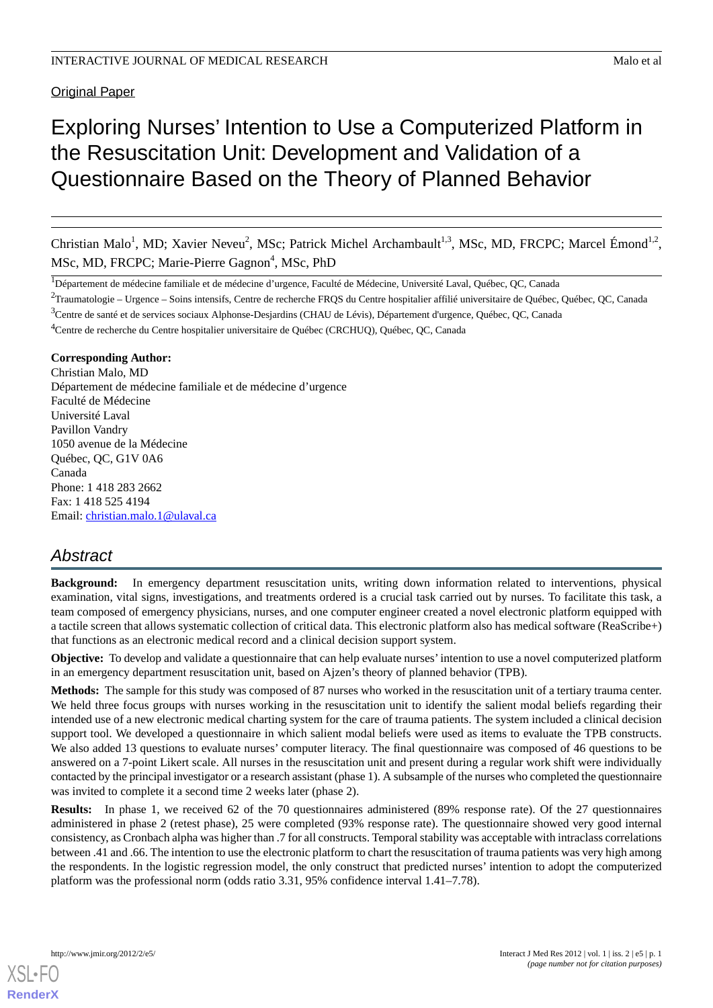**Original Paper** 

# Exploring Nurses' Intention to Use a Computerized Platform in the Resuscitation Unit: Development and Validation of a Questionnaire Based on the Theory of Planned Behavior

Christian Malo<sup>1</sup>, MD; Xavier Neveu<sup>2</sup>, MSc; Patrick Michel Archambault<sup>1,3</sup>, MSc, MD, FRCPC; Marcel Émond<sup>1,2</sup>, MSc, MD, FRCPC; Marie-Pierre Gagnon<sup>4</sup>, MSc, PhD

<sup>1</sup>Département de médecine familiale et de médecine d'urgence, Faculté de Médecine, Université Laval, Québec, QC, Canada

<sup>2</sup>Traumatologie – Urgence – Soins intensifs, Centre de recherche FRQS du Centre hospitalier affilié universitaire de Québec, Québec, QC, Canada

<sup>3</sup>Centre de santé et de services sociaux Alphonse-Desjardins (CHAU de Lévis), Département d'urgence, Québec, QC, Canada

<sup>4</sup>Centre de recherche du Centre hospitalier universitaire de Québec (CRCHUQ), Québec, QC, Canada

# **Corresponding Author:**

Christian Malo, MD Département de médecine familiale et de médecine d'urgence Faculté de Médecine Université Laval Pavillon Vandry 1050 avenue de la Médecine Québec, QC, G1V 0A6 Canada Phone: 1 418 283 2662 Fax: 1 418 525 4194 Email: [christian.malo.1@ulaval.ca](mailto:christian.malo.1@ulaval.ca)

# *Abstract*

**Background:** In emergency department resuscitation units, writing down information related to interventions, physical examination, vital signs, investigations, and treatments ordered is a crucial task carried out by nurses. To facilitate this task, a team composed of emergency physicians, nurses, and one computer engineer created a novel electronic platform equipped with a tactile screen that allows systematic collection of critical data. This electronic platform also has medical software (ReaScribe+) that functions as an electronic medical record and a clinical decision support system.

**Objective:** To develop and validate a questionnaire that can help evaluate nurses' intention to use a novel computerized platform in an emergency department resuscitation unit, based on Ajzen's theory of planned behavior (TPB).

**Methods:** The sample for this study was composed of 87 nurses who worked in the resuscitation unit of a tertiary trauma center. We held three focus groups with nurses working in the resuscitation unit to identify the salient modal beliefs regarding their intended use of a new electronic medical charting system for the care of trauma patients. The system included a clinical decision support tool. We developed a questionnaire in which salient modal beliefs were used as items to evaluate the TPB constructs. We also added 13 questions to evaluate nurses' computer literacy. The final questionnaire was composed of 46 questions to be answered on a 7-point Likert scale. All nurses in the resuscitation unit and present during a regular work shift were individually contacted by the principal investigator or a research assistant (phase 1). A subsample of the nurses who completed the questionnaire was invited to complete it a second time 2 weeks later (phase 2).

**Results:** In phase 1, we received 62 of the 70 questionnaires administered (89% response rate). Of the 27 questionnaires administered in phase 2 (retest phase), 25 were completed (93% response rate). The questionnaire showed very good internal consistency, as Cronbach alpha was higher than .7 for all constructs. Temporal stability was acceptable with intraclass correlations between .41 and .66. The intention to use the electronic platform to chart the resuscitation of trauma patients was very high among the respondents. In the logistic regression model, the only construct that predicted nurses' intention to adopt the computerized platform was the professional norm (odds ratio 3.31, 95% confidence interval 1.41–7.78).

[XSL](http://www.w3.org/Style/XSL)•FO **[RenderX](http://www.renderx.com/)**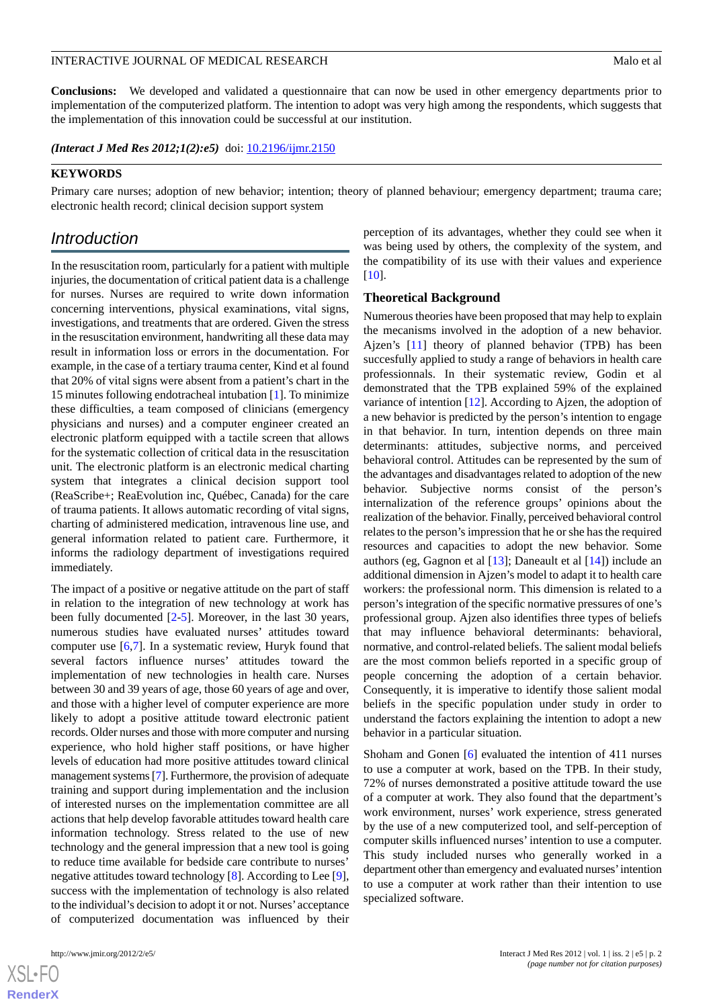**Conclusions:** We developed and validated a questionnaire that can now be used in other emergency departments prior to implementation of the computerized platform. The intention to adopt was very high among the respondents, which suggests that the implementation of this innovation could be successful at our institution.

*(Interact J Med Res 2012;1(2):e5)* doi:  $10.2196/ijmr.2150$ 

#### **KEYWORDS**

Primary care nurses; adoption of new behavior; intention; theory of planned behaviour; emergency department; trauma care; electronic health record; clinical decision support system

# *Introduction*

In the resuscitation room, particularly for a patient with multiple injuries, the documentation of critical patient data is a challenge for nurses. Nurses are required to write down information concerning interventions, physical examinations, vital signs, investigations, and treatments that are ordered. Given the stress in the resuscitation environment, handwriting all these data may result in information loss or errors in the documentation. For example, in the case of a tertiary trauma center, Kind et al found that 20% of vital signs were absent from a patient's chart in the 15 minutes following endotracheal intubation [\[1\]](#page-7-0). To minimize these difficulties, a team composed of clinicians (emergency physicians and nurses) and a computer engineer created an electronic platform equipped with a tactile screen that allows for the systematic collection of critical data in the resuscitation unit. The electronic platform is an electronic medical charting system that integrates a clinical decision support tool (ReaScribe+; ReaEvolution inc, Québec, Canada) for the care of trauma patients. It allows automatic recording of vital signs, charting of administered medication, intravenous line use, and general information related to patient care. Furthermore, it informs the radiology department of investigations required immediately.

The impact of a positive or negative attitude on the part of staff in relation to the integration of new technology at work has been fully documented [[2](#page-7-1)[-5](#page-7-2)]. Moreover, in the last 30 years, numerous studies have evaluated nurses' attitudes toward computer use [\[6](#page-7-3),[7\]](#page-7-4). In a systematic review, Huryk found that several factors influence nurses' attitudes toward the implementation of new technologies in health care. Nurses between 30 and 39 years of age, those 60 years of age and over, and those with a higher level of computer experience are more likely to adopt a positive attitude toward electronic patient records. Older nurses and those with more computer and nursing experience, who hold higher staff positions, or have higher levels of education had more positive attitudes toward clinical management systems [\[7\]](#page-7-4). Furthermore, the provision of adequate training and support during implementation and the inclusion of interested nurses on the implementation committee are all actions that help develop favorable attitudes toward health care information technology. Stress related to the use of new technology and the general impression that a new tool is going to reduce time available for bedside care contribute to nurses' negative attitudes toward technology [\[8](#page-7-5)]. According to Lee [[9\]](#page-7-6), success with the implementation of technology is also related to the individual's decision to adopt it or not. Nurses' acceptance of computerized documentation was influenced by their

[XSL](http://www.w3.org/Style/XSL)•FO **[RenderX](http://www.renderx.com/)**

perception of its advantages, whether they could see when it was being used by others, the complexity of the system, and the compatibility of its use with their values and experience [[10\]](#page-7-7).

#### **Theoretical Background**

Numerous theories have been proposed that may help to explain the mecanisms involved in the adoption of a new behavior. Ajzen's [\[11](#page-7-8)] theory of planned behavior (TPB) has been succesfully applied to study a range of behaviors in health care professionnals. In their systematic review, Godin et al demonstrated that the TPB explained 59% of the explained variance of intention [\[12](#page-7-9)]. According to Ajzen, the adoption of a new behavior is predicted by the person's intention to engage in that behavior. In turn, intention depends on three main determinants: attitudes, subjective norms, and perceived behavioral control. Attitudes can be represented by the sum of the advantages and disadvantages related to adoption of the new behavior. Subjective norms consist of the person's internalization of the reference groups' opinions about the realization of the behavior. Finally, perceived behavioral control relates to the person's impression that he or she has the required resources and capacities to adopt the new behavior. Some authors (eg, Gagnon et al [\[13](#page-7-10)]; Daneault et al [[14\]](#page-7-11)) include an additional dimension in Ajzen's model to adapt it to health care workers: the professional norm. This dimension is related to a person's integration of the specific normative pressures of one's professional group. Ajzen also identifies three types of beliefs that may influence behavioral determinants: behavioral, normative, and control-related beliefs. The salient modal beliefs are the most common beliefs reported in a specific group of people concerning the adoption of a certain behavior. Consequently, it is imperative to identify those salient modal beliefs in the specific population under study in order to understand the factors explaining the intention to adopt a new behavior in a particular situation.

Shoham and Gonen [\[6\]](#page-7-3) evaluated the intention of 411 nurses to use a computer at work, based on the TPB. In their study, 72% of nurses demonstrated a positive attitude toward the use of a computer at work. They also found that the department's work environment, nurses' work experience, stress generated by the use of a new computerized tool, and self-perception of computer skills influenced nurses'intention to use a computer. This study included nurses who generally worked in a department other than emergency and evaluated nurses'intention to use a computer at work rather than their intention to use specialized software.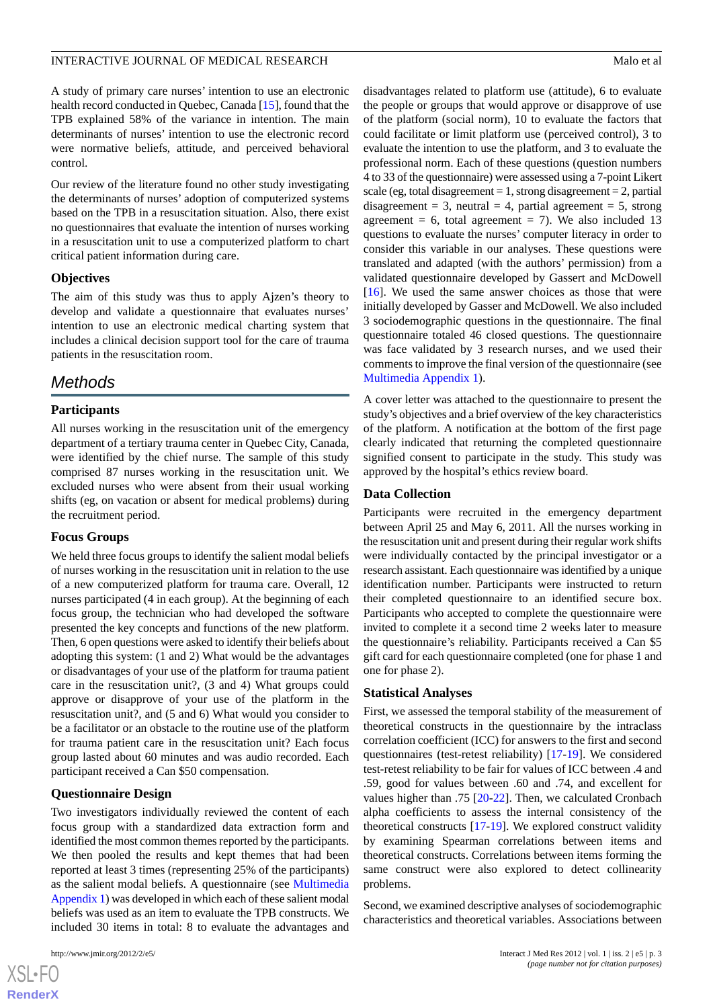A study of primary care nurses' intention to use an electronic health record conducted in Quebec, Canada [\[15](#page-7-12)], found that the TPB explained 58% of the variance in intention. The main determinants of nurses' intention to use the electronic record were normative beliefs, attitude, and perceived behavioral control.

Our review of the literature found no other study investigating the determinants of nurses' adoption of computerized systems based on the TPB in a resuscitation situation. Also, there exist no questionnaires that evaluate the intention of nurses working in a resuscitation unit to use a computerized platform to chart critical patient information during care.

# **Objectives**

The aim of this study was thus to apply Ajzen's theory to develop and validate a questionnaire that evaluates nurses' intention to use an electronic medical charting system that includes a clinical decision support tool for the care of trauma patients in the resuscitation room.

# *Methods*

# **Participants**

All nurses working in the resuscitation unit of the emergency department of a tertiary trauma center in Quebec City, Canada, were identified by the chief nurse. The sample of this study comprised 87 nurses working in the resuscitation unit. We excluded nurses who were absent from their usual working shifts (eg, on vacation or absent for medical problems) during the recruitment period.

# **Focus Groups**

We held three focus groups to identify the salient modal beliefs of nurses working in the resuscitation unit in relation to the use of a new computerized platform for trauma care. Overall, 12 nurses participated (4 in each group). At the beginning of each focus group, the technician who had developed the software presented the key concepts and functions of the new platform. Then, 6 open questions were asked to identify their beliefs about adopting this system: (1 and 2) What would be the advantages or disadvantages of your use of the platform for trauma patient care in the resuscitation unit?, (3 and 4) What groups could approve or disapprove of your use of the platform in the resuscitation unit?, and (5 and 6) What would you consider to be a facilitator or an obstacle to the routine use of the platform for trauma patient care in the resuscitation unit? Each focus group lasted about 60 minutes and was audio recorded. Each participant received a Can \$50 compensation.

# **Questionnaire Design**

Two investigators individually reviewed the content of each focus group with a standardized data extraction form and identified the most common themes reported by the participants. We then pooled the results and kept themes that had been reported at least 3 times (representing 25% of the participants) as the salient modal beliefs. A questionnaire (see [Multimedia](#page-7-13) [Appendix 1](#page-7-13)) was developed in which each of these salient modal beliefs was used as an item to evaluate the TPB constructs. We included 30 items in total: 8 to evaluate the advantages and

 $XS$ -FO **[RenderX](http://www.renderx.com/)** disadvantages related to platform use (attitude), 6 to evaluate the people or groups that would approve or disapprove of use of the platform (social norm), 10 to evaluate the factors that could facilitate or limit platform use (perceived control), 3 to evaluate the intention to use the platform, and 3 to evaluate the professional norm. Each of these questions (question numbers 4 to 33 of the questionnaire) were assessed using a 7-point Likert scale (eg, total disagreement  $= 1$ , strong disagreement  $= 2$ , partial disagreement = 3, neutral = 4, partial agreement = 5, strong agreement = 6, total agreement = 7). We also included 13 questions to evaluate the nurses' computer literacy in order to consider this variable in our analyses. These questions were translated and adapted (with the authors' permission) from a validated questionnaire developed by Gassert and McDowell [[16\]](#page-7-14). We used the same answer choices as those that were initially developed by Gasser and McDowell. We also included 3 sociodemographic questions in the questionnaire. The final questionnaire totaled 46 closed questions. The questionnaire was face validated by 3 research nurses, and we used their comments to improve the final version of the questionnaire (see [Multimedia Appendix 1\)](#page-7-13).

A cover letter was attached to the questionnaire to present the study's objectives and a brief overview of the key characteristics of the platform. A notification at the bottom of the first page clearly indicated that returning the completed questionnaire signified consent to participate in the study. This study was approved by the hospital's ethics review board.

# **Data Collection**

Participants were recruited in the emergency department between April 25 and May 6, 2011. All the nurses working in the resuscitation unit and present during their regular work shifts were individually contacted by the principal investigator or a research assistant. Each questionnaire was identified by a unique identification number. Participants were instructed to return their completed questionnaire to an identified secure box. Participants who accepted to complete the questionnaire were invited to complete it a second time 2 weeks later to measure the questionnaire's reliability. Participants received a Can \$5 gift card for each questionnaire completed (one for phase 1 and one for phase 2).

# **Statistical Analyses**

First, we assessed the temporal stability of the measurement of theoretical constructs in the questionnaire by the intraclass correlation coefficient (ICC) for answers to the first and second questionnaires (test-retest reliability) [[17](#page-8-0)[-19](#page-8-1)]. We considered test-retest reliability to be fair for values of ICC between .4 and .59, good for values between .60 and .74, and excellent for values higher than .75 [\[20](#page-8-2)-[22\]](#page-8-3). Then, we calculated Cronbach alpha coefficients to assess the internal consistency of the theoretical constructs [\[17](#page-8-0)[-19](#page-8-1)]. We explored construct validity by examining Spearman correlations between items and theoretical constructs. Correlations between items forming the same construct were also explored to detect collinearity problems.

Second, we examined descriptive analyses of sociodemographic characteristics and theoretical variables. Associations between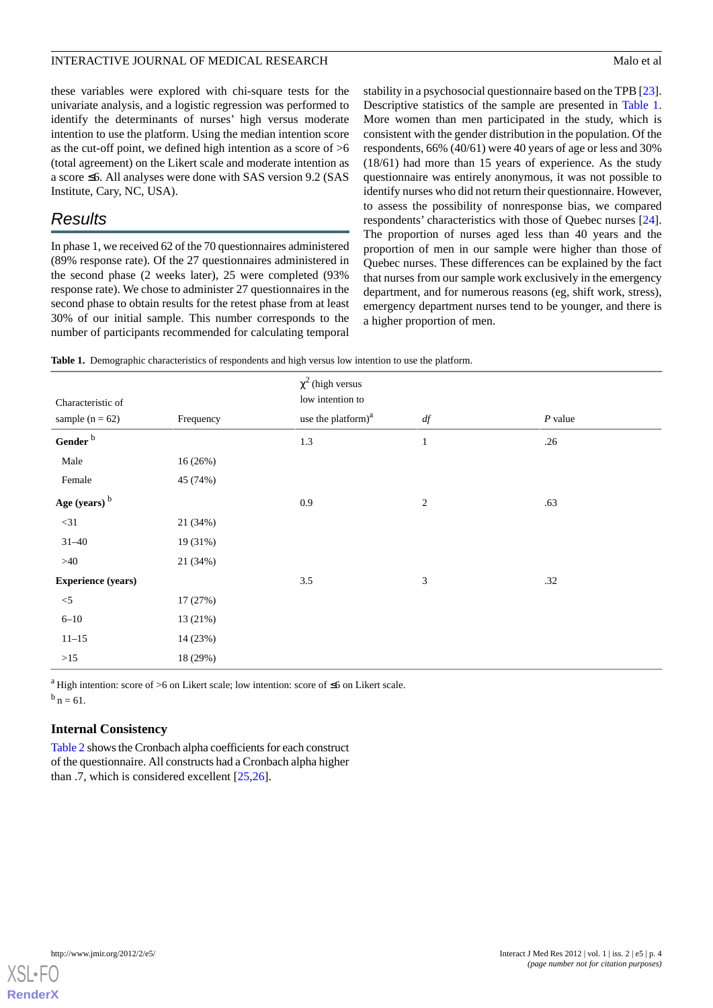these variables were explored with chi-square tests for the univariate analysis, and a logistic regression was performed to identify the determinants of nurses' high versus moderate intention to use the platform. Using the median intention score as the cut-off point, we defined high intention as a score of >6 (total agreement) on the Likert scale and moderate intention as a score ≤6. All analyses were done with SAS version 9.2 (SAS Institute, Cary, NC, USA).

# *Results*

In phase 1, we received 62 of the 70 questionnaires administered (89% response rate). Of the 27 questionnaires administered in the second phase (2 weeks later), 25 were completed (93% response rate). We chose to administer 27 questionnaires in the second phase to obtain results for the retest phase from at least 30% of our initial sample. This number corresponds to the number of participants recommended for calculating temporal

stability in a psychosocial questionnaire based on the TPB [[23\]](#page-8-4). Descriptive statistics of the sample are presented in [Table 1](#page-3-0). More women than men participated in the study, which is consistent with the gender distribution in the population. Of the respondents, 66% (40/61) were 40 years of age or less and 30% (18/61) had more than 15 years of experience. As the study questionnaire was entirely anonymous, it was not possible to identify nurses who did not return their questionnaire. However, to assess the possibility of nonresponse bias, we compared respondents' characteristics with those of Quebec nurses [[24\]](#page-8-5). The proportion of nurses aged less than 40 years and the proportion of men in our sample were higher than those of Quebec nurses. These differences can be explained by the fact that nurses from our sample work exclusively in the emergency department, and for numerous reasons (eg, shift work, stress), emergency department nurses tend to be younger, and there is a higher proportion of men.

<span id="page-3-0"></span>

|  |  |  |  |  |  | Table 1. Demographic characteristics of respondents and high versus low intention to use the platform. |
|--|--|--|--|--|--|--------------------------------------------------------------------------------------------------------|
|--|--|--|--|--|--|--------------------------------------------------------------------------------------------------------|

| Characteristic of         |           | $\chi^2$ (high versus<br>low intention to |                |           |
|---------------------------|-----------|-------------------------------------------|----------------|-----------|
| sample $(n = 62)$         | Frequency | use the platform) <sup>a</sup>            | df             | $P$ value |
| Gender $^{\rm b}$         |           | 1.3                                       | $\mathbf{1}$   | .26       |
| Male                      | 16(26%)   |                                           |                |           |
| Female                    | 45 (74%)  |                                           |                |           |
| Age (years) <sup>b</sup>  |           | 0.9                                       | $\overline{2}$ | .63       |
| $<$ 31                    | 21 (34%)  |                                           |                |           |
| $31 - 40$                 | 19 (31%)  |                                           |                |           |
| $>40$                     | 21 (34%)  |                                           |                |           |
| <b>Experience (years)</b> |           | $3.5\,$                                   | $\mathfrak{Z}$ | .32       |
| $<$ 5                     | 17(27%)   |                                           |                |           |
| $6 - 10$                  | 13 (21%)  |                                           |                |           |
| $11 - 15$                 | 14 (23%)  |                                           |                |           |
| $>15$                     | 18 (29%)  |                                           |                |           |

<sup>a</sup> High intention: score of >6 on Likert scale; low intention: score of  $\leq$ 6 on Likert scale.  $^{b}$  n = 61.

# **Internal Consistency**

[Table 2](#page-4-0) shows the Cronbach alpha coefficients for each construct of the questionnaire. All constructs had a Cronbach alpha higher than .7, which is considered excellent [\[25](#page-8-6),[26\]](#page-8-7).

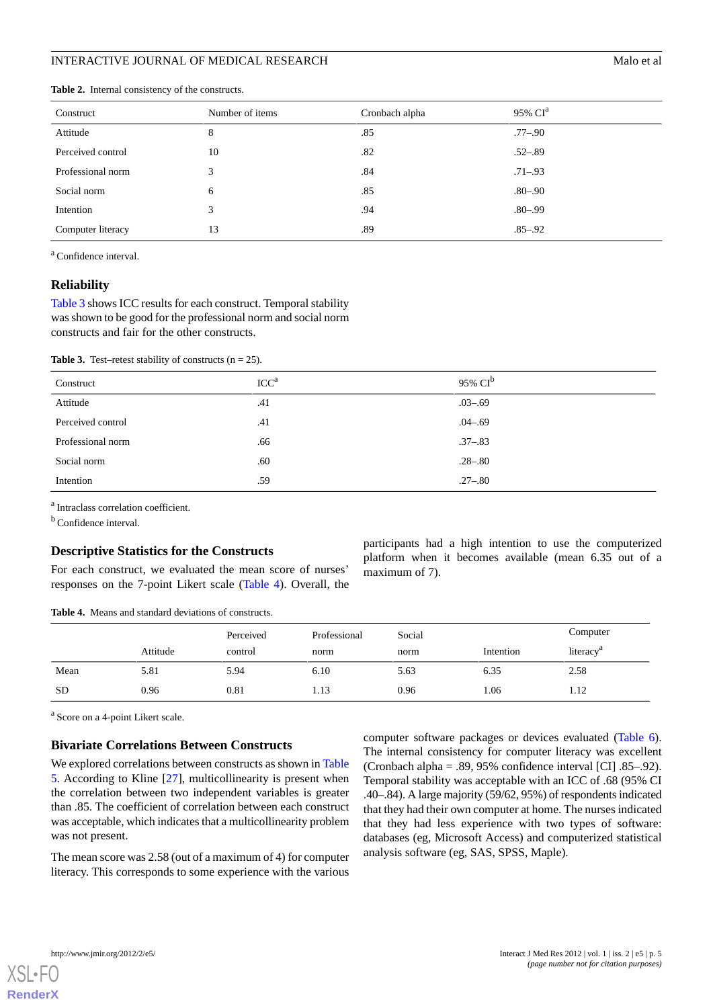| Construct         | Number of items | Cronbach alpha | 95% CI <sup>a</sup> |
|-------------------|-----------------|----------------|---------------------|
| Attitude          | 8               | .85            | .77–.90             |
| Perceived control | 10              | .82            | $.52 - .89$         |
| Professional norm | 3               | .84            | $.71 - .93$         |
| Social norm       | 6               | .85            | $.80 - .90$         |
| Intention         | 3               | .94            | $.80 - .99$         |
| Computer literacy | 13              | .89            | $.85 - .92$         |

<span id="page-4-0"></span>**Table 2.** Internal consistency of the constructs.

<sup>a</sup> Confidence interval.

#### **Reliability**

<span id="page-4-1"></span>[Table 3](#page-4-1) shows ICC results for each construct. Temporal stability was shown to be good for the professional norm and social norm constructs and fair for the other constructs.

**Table 3.** Test–retest stability of constructs  $(n = 25)$ .

| Construct         | ICC <sup>a</sup> | 95% $CI^b$  |
|-------------------|------------------|-------------|
| Attitude          | .41              | $.03 - .69$ |
| Perceived control | .41              | $.04 - .69$ |
| Professional norm | .66              | $.37 - .83$ |
| Social norm       | .60              | $.28 - .80$ |
| Intention         | .59              | $.27 - .80$ |

<sup>a</sup> Intraclass correlation coefficient.

 $<sup>b</sup>$  Confidence interval.</sup>

# <span id="page-4-2"></span>**Descriptive Statistics for the Constructs**

For each construct, we evaluated the mean score of nurses' responses on the 7-point Likert scale ([Table 4\)](#page-4-2). Overall, the participants had a high intention to use the computerized platform when it becomes available (mean 6.35 out of a maximum of 7).

**Table 4.** Means and standard deviations of constructs.

|           |          | Perceived | Professional | Social |           | Computer              |
|-----------|----------|-----------|--------------|--------|-----------|-----------------------|
|           | Attitude | control   | norm         | norm   | Intention | literacy <sup>a</sup> |
| Mean      | 5.81     | 5.94      | 6.10         | 5.63   | 6.35      | 2.58                  |
| <b>SD</b> | 0.96     | 0.81      | 1.13         | 0.96   | .06       | 1.12                  |

<sup>a</sup> Score on a 4-point Likert scale.

#### **Bivariate Correlations Between Constructs**

We explored correlations between constructs as shown in [Table](#page-5-0) [5.](#page-5-0) According to Kline [[27\]](#page-8-8), multicollinearity is present when the correlation between two independent variables is greater than .85. The coefficient of correlation between each construct was acceptable, which indicates that a multicollinearity problem was not present.

The mean score was 2.58 (out of a maximum of 4) for computer literacy. This corresponds to some experience with the various

computer software packages or devices evaluated ([Table 6\)](#page-5-1). The internal consistency for computer literacy was excellent (Cronbach alpha = .89, 95% confidence interval [CI] .85–.92). Temporal stability was acceptable with an ICC of .68 (95% CI .40–.84). A large majority (59/62, 95%) of respondents indicated that they had their own computer at home. The nurses indicated that they had less experience with two types of software: databases (eg, Microsoft Access) and computerized statistical analysis software (eg, SAS, SPSS, Maple).



**[RenderX](http://www.renderx.com/)**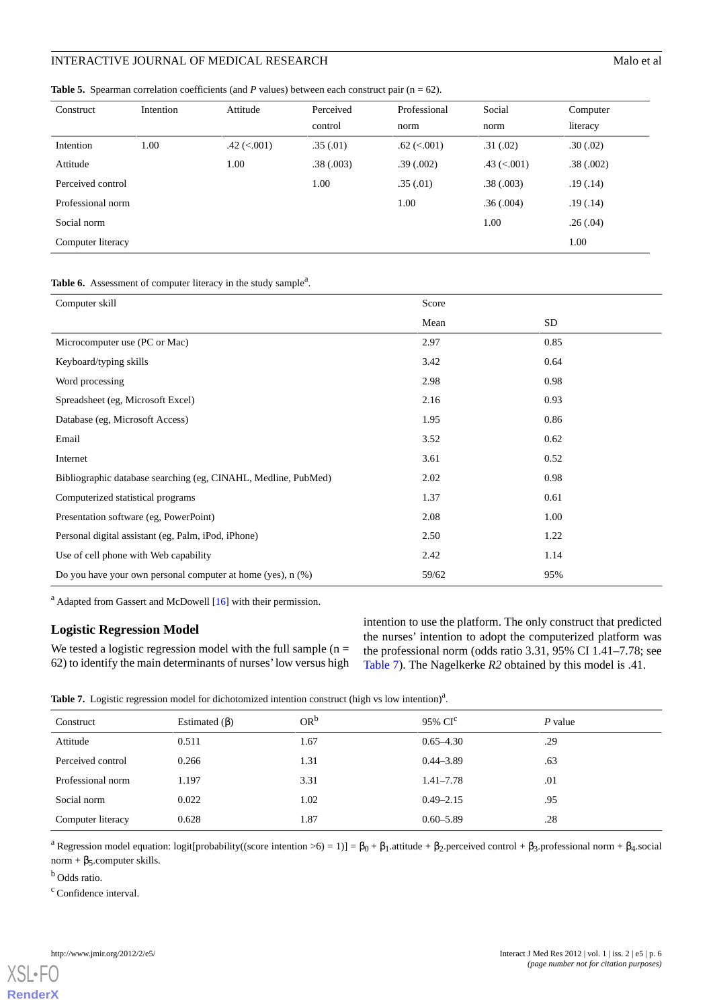<span id="page-5-0"></span>**Table 5.** Spearman correlation coefficients (and *P* values) between each construct pair (n = 62).

| Construct         | Intention | Attitude        | Perceived<br>control | Professional<br>norm | Social<br>norm     | Computer<br>literacy |
|-------------------|-----------|-----------------|----------------------|----------------------|--------------------|----------------------|
| Intention         | 1.00      | $.42 \ (< 001)$ | .35(.01)             | $.62 \ (< .001)$     | .31(.02)           | .30(.02)             |
| Attitude          |           | 1.00            | .38(.003)            | .39(.002)            | $.43$ ( $< .001$ ) | .38(.002)            |
| Perceived control |           |                 | 1.00                 | .35(.01)             | .38(.003)          | .19(0.14)            |
| Professional norm |           |                 |                      | 1.00                 | .36(.004)          | .19(0.14)            |
| Social norm       |           |                 |                      |                      | 1.00               | .26(.04)             |
| Computer literacy |           |                 |                      |                      |                    | 1.00                 |

# <span id="page-5-1"></span>Table 6. Assessment of computer literacy in the study sample<sup>a</sup>.

| Computer skill                                                 | Score |      |  |
|----------------------------------------------------------------|-------|------|--|
|                                                                | Mean  | SD   |  |
| Microcomputer use (PC or Mac)                                  | 2.97  | 0.85 |  |
| Keyboard/typing skills                                         | 3.42  | 0.64 |  |
| Word processing                                                | 2.98  | 0.98 |  |
| Spreadsheet (eg, Microsoft Excel)                              | 2.16  | 0.93 |  |
| Database (eg, Microsoft Access)                                | 1.95  | 0.86 |  |
| Email                                                          | 3.52  | 0.62 |  |
| Internet                                                       | 3.61  | 0.52 |  |
| Bibliographic database searching (eg, CINAHL, Medline, PubMed) | 2.02  | 0.98 |  |
| Computerized statistical programs                              | 1.37  | 0.61 |  |
| Presentation software (eg, PowerPoint)                         | 2.08  | 1.00 |  |
| Personal digital assistant (eg, Palm, iPod, iPhone)            | 2.50  | 1.22 |  |
| Use of cell phone with Web capability                          | 2.42  | 1.14 |  |
| Do you have your own personal computer at home (yes), $n$ (%)  | 59/62 | 95%  |  |

 $a<sup>a</sup>$  Adapted from Gassert and McDowell [\[16\]](#page-7-14) with their permission.

# <span id="page-5-2"></span>**Logistic Regression Model**

We tested a logistic regression model with the full sample  $(n =$ 62) to identify the main determinants of nurses'low versus high intention to use the platform. The only construct that predicted the nurses' intention to adopt the computerized platform was the professional norm (odds ratio 3.31, 95% CI 1.41–7.78; see [Table 7](#page-5-2)). The Nagelkerke *R2* obtained by this model is .41.

Table 7. Logistic regression model for dichotomized intention construct (high vs low intention)<sup>a</sup>.

| Construct         | Estimated $(\beta)$ | $OR^b$ | $95\%$ CI <sup>c</sup> | $P$ value |
|-------------------|---------------------|--------|------------------------|-----------|
| Attitude          | 0.511               | 1.67   | $0.65 - 4.30$          | .29       |
| Perceived control | 0.266               | 1.31   | $0.44 - 3.89$          | .63       |
| Professional norm | 1.197               | 3.31   | $1.41 - 7.78$          | .01       |
| Social norm       | 0.022               | 1.02   | $0.49 - 2.15$          | .95       |
| Computer literacy | 0.628               | 1.87   | $0.60 - 5.89$          | .28       |

<sup>a</sup> Regression model equation: logit[probability((score intention >6) = 1)] =  $\beta_0 + \beta_1$  attitude +  $\beta_2$  perceived control +  $\beta_3$  professional norm +  $\beta_4$  social  $norm + \beta_5$ .computer skills.

<sup>b</sup> Odds ratio.

<sup>c</sup> Confidence interval.

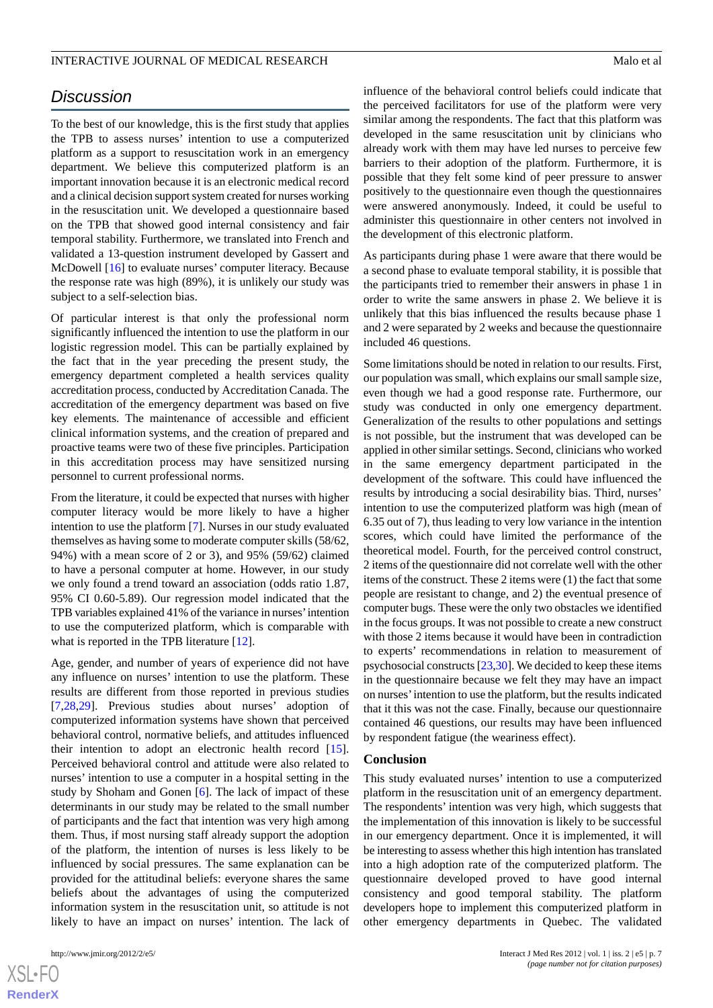# *Discussion*

To the best of our knowledge, this is the first study that applies the TPB to assess nurses' intention to use a computerized platform as a support to resuscitation work in an emergency department. We believe this computerized platform is an important innovation because it is an electronic medical record and a clinical decision support system created for nurses working in the resuscitation unit. We developed a questionnaire based on the TPB that showed good internal consistency and fair temporal stability. Furthermore, we translated into French and validated a 13-question instrument developed by Gassert and McDowell [\[16](#page-7-14)] to evaluate nurses' computer literacy. Because the response rate was high (89%), it is unlikely our study was subject to a self-selection bias.

Of particular interest is that only the professional norm significantly influenced the intention to use the platform in our logistic regression model. This can be partially explained by the fact that in the year preceding the present study, the emergency department completed a health services quality accreditation process, conducted by Accreditation Canada. The accreditation of the emergency department was based on five key elements. The maintenance of accessible and efficient clinical information systems, and the creation of prepared and proactive teams were two of these five principles. Participation in this accreditation process may have sensitized nursing personnel to current professional norms.

From the literature, it could be expected that nurses with higher computer literacy would be more likely to have a higher intention to use the platform [[7\]](#page-7-4). Nurses in our study evaluated themselves as having some to moderate computer skills (58/62, 94%) with a mean score of 2 or 3), and 95% (59/62) claimed to have a personal computer at home. However, in our study we only found a trend toward an association (odds ratio 1.87, 95% CI 0.60-5.89). Our regression model indicated that the TPB variables explained 41% of the variance in nurses'intention to use the computerized platform, which is comparable with what is reported in the TPB literature [\[12](#page-7-9)].

Age, gender, and number of years of experience did not have any influence on nurses' intention to use the platform. These results are different from those reported in previous studies [[7](#page-7-4)[,28](#page-8-9),[29\]](#page-8-10). Previous studies about nurses' adoption of computerized information systems have shown that perceived behavioral control, normative beliefs, and attitudes influenced their intention to adopt an electronic health record [[15\]](#page-7-12). Perceived behavioral control and attitude were also related to nurses' intention to use a computer in a hospital setting in the study by Shoham and Gonen [\[6](#page-7-3)]. The lack of impact of these determinants in our study may be related to the small number of participants and the fact that intention was very high among them. Thus, if most nursing staff already support the adoption of the platform, the intention of nurses is less likely to be influenced by social pressures. The same explanation can be provided for the attitudinal beliefs: everyone shares the same beliefs about the advantages of using the computerized information system in the resuscitation unit, so attitude is not likely to have an impact on nurses' intention. The lack of

 $XS$ -FO **[RenderX](http://www.renderx.com/)** influence of the behavioral control beliefs could indicate that the perceived facilitators for use of the platform were very similar among the respondents. The fact that this platform was developed in the same resuscitation unit by clinicians who already work with them may have led nurses to perceive few barriers to their adoption of the platform. Furthermore, it is possible that they felt some kind of peer pressure to answer positively to the questionnaire even though the questionnaires were answered anonymously. Indeed, it could be useful to administer this questionnaire in other centers not involved in the development of this electronic platform.

As participants during phase 1 were aware that there would be a second phase to evaluate temporal stability, it is possible that the participants tried to remember their answers in phase 1 in order to write the same answers in phase 2. We believe it is unlikely that this bias influenced the results because phase 1 and 2 were separated by 2 weeks and because the questionnaire included 46 questions.

Some limitations should be noted in relation to our results. First, our population was small, which explains our small sample size, even though we had a good response rate. Furthermore, our study was conducted in only one emergency department. Generalization of the results to other populations and settings is not possible, but the instrument that was developed can be applied in other similar settings. Second, clinicians who worked in the same emergency department participated in the development of the software. This could have influenced the results by introducing a social desirability bias. Third, nurses' intention to use the computerized platform was high (mean of 6.35 out of 7), thus leading to very low variance in the intention scores, which could have limited the performance of the theoretical model. Fourth, for the perceived control construct, 2 items of the questionnaire did not correlate well with the other items of the construct. These 2 items were (1) the fact that some people are resistant to change, and 2) the eventual presence of computer bugs. These were the only two obstacles we identified in the focus groups. It was not possible to create a new construct with those 2 items because it would have been in contradiction to experts' recommendations in relation to measurement of psychosocial constructs [[23,](#page-8-4)[30\]](#page-8-11). We decided to keep these items in the questionnaire because we felt they may have an impact on nurses'intention to use the platform, but the results indicated that it this was not the case. Finally, because our questionnaire contained 46 questions, our results may have been influenced by respondent fatigue (the weariness effect).

#### **Conclusion**

This study evaluated nurses' intention to use a computerized platform in the resuscitation unit of an emergency department. The respondents' intention was very high, which suggests that the implementation of this innovation is likely to be successful in our emergency department. Once it is implemented, it will be interesting to assess whether this high intention has translated into a high adoption rate of the computerized platform. The questionnaire developed proved to have good internal consistency and good temporal stability. The platform developers hope to implement this computerized platform in other emergency departments in Quebec. The validated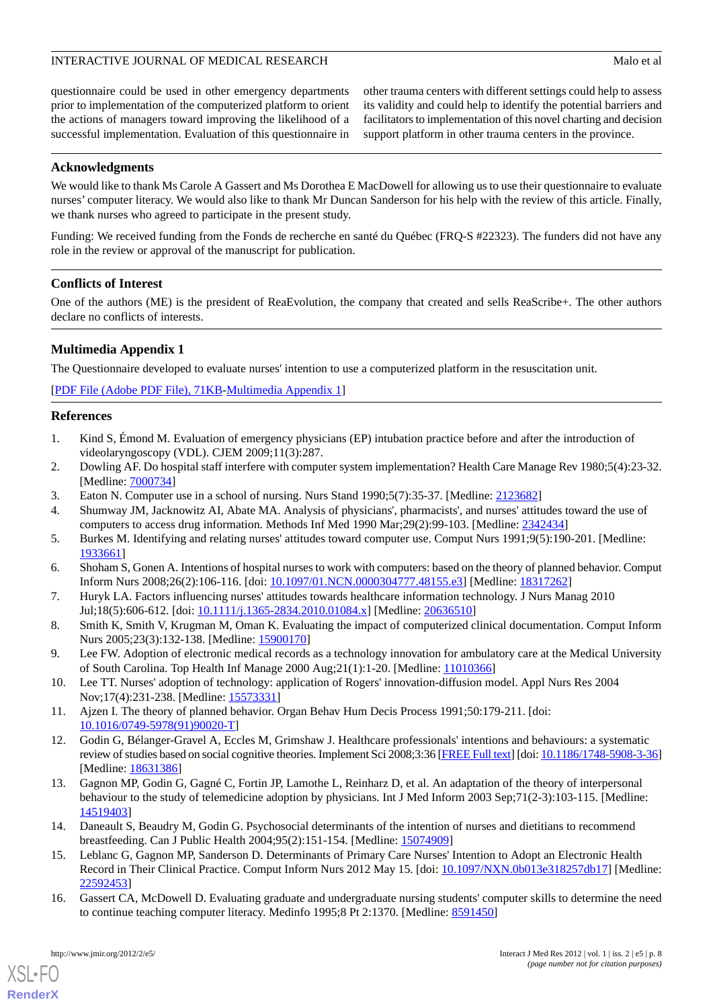questionnaire could be used in other emergency departments prior to implementation of the computerized platform to orient the actions of managers toward improving the likelihood of a successful implementation. Evaluation of this questionnaire in

other trauma centers with different settings could help to assess its validity and could help to identify the potential barriers and facilitators to implementation of this novel charting and decision support platform in other trauma centers in the province.

#### **Acknowledgments**

We would like to thank Ms Carole A Gassert and Ms Dorothea E MacDowell for allowing us to use their questionnaire to evaluate nurses' computer literacy. We would also like to thank Mr Duncan Sanderson for his help with the review of this article. Finally, we thank nurses who agreed to participate in the present study.

Funding: We received funding from the Fonds de recherche en santé du Québec (FRQ-S #22323). The funders did not have any role in the review or approval of the manuscript for publication.

# **Conflicts of Interest**

<span id="page-7-13"></span>One of the authors (ME) is the president of ReaEvolution, the company that created and sells ReaScribe+. The other authors declare no conflicts of interests.

#### **Multimedia Appendix 1**

The Questionnaire developed to evaluate nurses' intention to use a computerized platform in the resuscitation unit.

<span id="page-7-0"></span>[[PDF File \(Adobe PDF File\), 71KB-Multimedia Appendix 1](https://jmir.org/api/download?alt_name=ijmr_v1i5e5_app1.pdf&filename=20f0b91bf2d15fd0ea35cb900c3610ab.pdf)]

#### <span id="page-7-1"></span>**References**

- 1. Kind S, Émond M. Evaluation of emergency physicians (EP) intubation practice before and after the introduction of videolaryngoscopy (VDL). CJEM 2009;11(3):287.
- 2. Dowling AF. Do hospital staff interfere with computer system implementation? Health Care Manage Rev 1980;5(4):23-32. [Medline: [7000734\]](http://www.ncbi.nlm.nih.gov/entrez/query.fcgi?cmd=Retrieve&db=PubMed&list_uids=7000734&dopt=Abstract)
- <span id="page-7-2"></span>3. Eaton N. Computer use in a school of nursing. Nurs Stand 1990;5(7):35-37. [Medline: [2123682](http://www.ncbi.nlm.nih.gov/entrez/query.fcgi?cmd=Retrieve&db=PubMed&list_uids=2123682&dopt=Abstract)]
- <span id="page-7-3"></span>4. Shumway JM, Jacknowitz AI, Abate MA. Analysis of physicians', pharmacists', and nurses' attitudes toward the use of computers to access drug information. Methods Inf Med 1990 Mar;29(2):99-103. [Medline: [2342434](http://www.ncbi.nlm.nih.gov/entrez/query.fcgi?cmd=Retrieve&db=PubMed&list_uids=2342434&dopt=Abstract)]
- <span id="page-7-4"></span>5. Burkes M. Identifying and relating nurses' attitudes toward computer use. Comput Nurs 1991;9(5):190-201. [Medline: [1933661\]](http://www.ncbi.nlm.nih.gov/entrez/query.fcgi?cmd=Retrieve&db=PubMed&list_uids=1933661&dopt=Abstract)
- <span id="page-7-5"></span>6. Shoham S, Gonen A. Intentions of hospital nurses to work with computers: based on the theory of planned behavior. Comput Inform Nurs 2008;26(2):106-116. [doi: [10.1097/01.NCN.0000304777.48155.e3](http://dx.doi.org/10.1097/01.NCN.0000304777.48155.e3)] [Medline: [18317262](http://www.ncbi.nlm.nih.gov/entrez/query.fcgi?cmd=Retrieve&db=PubMed&list_uids=18317262&dopt=Abstract)]
- <span id="page-7-6"></span>7. Huryk LA. Factors influencing nurses' attitudes towards healthcare information technology. J Nurs Manag 2010 Jul;18(5):606-612. [doi: [10.1111/j.1365-2834.2010.01084.x](http://dx.doi.org/10.1111/j.1365-2834.2010.01084.x)] [Medline: [20636510](http://www.ncbi.nlm.nih.gov/entrez/query.fcgi?cmd=Retrieve&db=PubMed&list_uids=20636510&dopt=Abstract)]
- <span id="page-7-7"></span>8. Smith K, Smith V, Krugman M, Oman K. Evaluating the impact of computerized clinical documentation. Comput Inform Nurs 2005;23(3):132-138. [Medline: [15900170\]](http://www.ncbi.nlm.nih.gov/entrez/query.fcgi?cmd=Retrieve&db=PubMed&list_uids=15900170&dopt=Abstract)
- <span id="page-7-9"></span><span id="page-7-8"></span>9. Lee FW. Adoption of electronic medical records as a technology innovation for ambulatory care at the Medical University of South Carolina. Top Health Inf Manage 2000 Aug;21(1):1-20. [Medline: [11010366\]](http://www.ncbi.nlm.nih.gov/entrez/query.fcgi?cmd=Retrieve&db=PubMed&list_uids=11010366&dopt=Abstract)
- 10. Lee TT. Nurses' adoption of technology: application of Rogers' innovation-diffusion model. Appl Nurs Res 2004 Nov;17(4):231-238. [Medline: [15573331](http://www.ncbi.nlm.nih.gov/entrez/query.fcgi?cmd=Retrieve&db=PubMed&list_uids=15573331&dopt=Abstract)]
- <span id="page-7-10"></span>11. Ajzen I. The theory of planned behavior. Organ Behav Hum Decis Process 1991;50:179-211. [doi: [10.1016/0749-5978\(91\)90020-T](http://dx.doi.org/10.1016/0749-5978(91)90020-T)]
- <span id="page-7-11"></span>12. Godin G, Bélanger-Gravel A, Eccles M, Grimshaw J. Healthcare professionals' intentions and behaviours: a systematic review of studies based on social cognitive theories. Implement Sci 2008;3:36 [\[FREE Full text\]](http://www.implementationscience.com/content/3//36) [doi: [10.1186/1748-5908-3-36\]](http://dx.doi.org/10.1186/1748-5908-3-36) [Medline: [18631386](http://www.ncbi.nlm.nih.gov/entrez/query.fcgi?cmd=Retrieve&db=PubMed&list_uids=18631386&dopt=Abstract)]
- <span id="page-7-12"></span>13. Gagnon MP, Godin G, Gagné C, Fortin JP, Lamothe L, Reinharz D, et al. An adaptation of the theory of interpersonal behaviour to the study of telemedicine adoption by physicians. Int J Med Inform 2003 Sep;71(2-3):103-115. [Medline: [14519403](http://www.ncbi.nlm.nih.gov/entrez/query.fcgi?cmd=Retrieve&db=PubMed&list_uids=14519403&dopt=Abstract)]
- <span id="page-7-14"></span>14. Daneault S, Beaudry M, Godin G. Psychosocial determinants of the intention of nurses and dietitians to recommend breastfeeding. Can J Public Health 2004;95(2):151-154. [Medline: [15074909](http://www.ncbi.nlm.nih.gov/entrez/query.fcgi?cmd=Retrieve&db=PubMed&list_uids=15074909&dopt=Abstract)]
- 15. Leblanc G, Gagnon MP, Sanderson D. Determinants of Primary Care Nurses' Intention to Adopt an Electronic Health Record in Their Clinical Practice. Comput Inform Nurs 2012 May 15. [doi: [10.1097/NXN.0b013e318257db17\]](http://dx.doi.org/10.1097/NXN.0b013e318257db17) [Medline: [22592453](http://www.ncbi.nlm.nih.gov/entrez/query.fcgi?cmd=Retrieve&db=PubMed&list_uids=22592453&dopt=Abstract)]
- 16. Gassert CA, McDowell D. Evaluating graduate and undergraduate nursing students' computer skills to determine the need to continue teaching computer literacy. Medinfo 1995;8 Pt 2:1370. [Medline: [8591450](http://www.ncbi.nlm.nih.gov/entrez/query.fcgi?cmd=Retrieve&db=PubMed&list_uids=8591450&dopt=Abstract)]

[XSL](http://www.w3.org/Style/XSL)•FO **[RenderX](http://www.renderx.com/)**